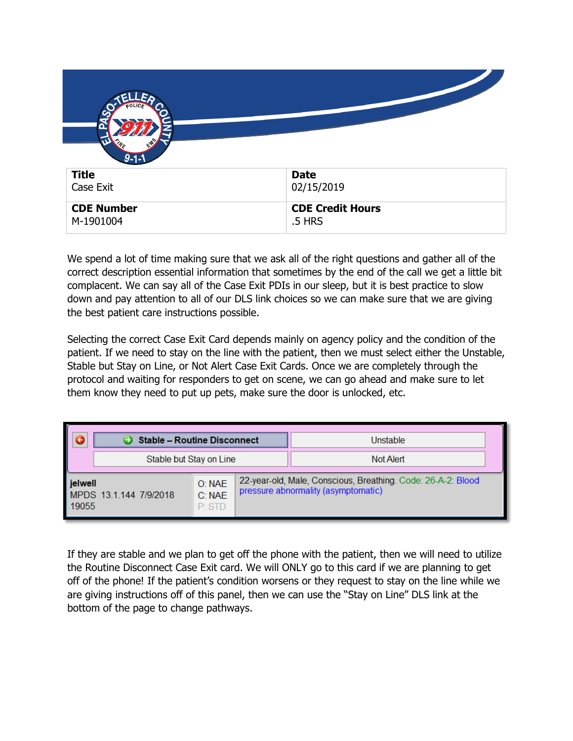| $9 - 1 - 1$<br><b>Title</b><br>Case Exit | <b>Date</b><br>02/15/2019         |
|------------------------------------------|-----------------------------------|
| <b>CDE Number</b><br>M-1901004           | <b>CDE Credit Hours</b><br>.5 HRS |

We spend a lot of time making sure that we ask all of the right questions and gather all of the correct description essential information that sometimes by the end of the call we get a little bit complacent. We can say all of the Case Exit PDIs in our sleep, but it is best practice to slow down and pay attention to all of our DLS link choices so we can make sure that we are giving the best patient care instructions possible.

Selecting the correct Case Exit Card depends mainly on agency policy and the condition of the patient. If we need to stay on the line with the patient, then we must select either the Unstable, Stable but Stay on Line, or Not Alert Case Exit Cards. Once we are completely through the protocol and waiting for responders to get on scene, we can go ahead and make sure to let them know they need to put up pets, make sure the door is unlocked, etc.

|                  | <b>Stable - Routine Disconnect</b> |                             |  | Unstable                                                                                            |  |
|------------------|------------------------------------|-----------------------------|--|-----------------------------------------------------------------------------------------------------|--|
|                  | Stable but Stay on Line            |                             |  | Not Alert                                                                                           |  |
| jelwell<br>19055 | MPDS 131144 7/9/2018               | O: NAE<br>C: NAE<br>$P$ STD |  | 22-year-old, Male, Conscious, Breathing. Code: 26-A-2: Blood<br>pressure abnormality (asymptomatic) |  |

If they are stable and we plan to get off the phone with the patient, then we will need to utilize the Routine Disconnect Case Exit card. We will ONLY go to this card if we are planning to get off of the phone! If the patient's condition worsens or they request to stay on the line while we are giving instructions off of this panel, then we can use the "Stay on Line" DLS link at the bottom of the page to change pathways.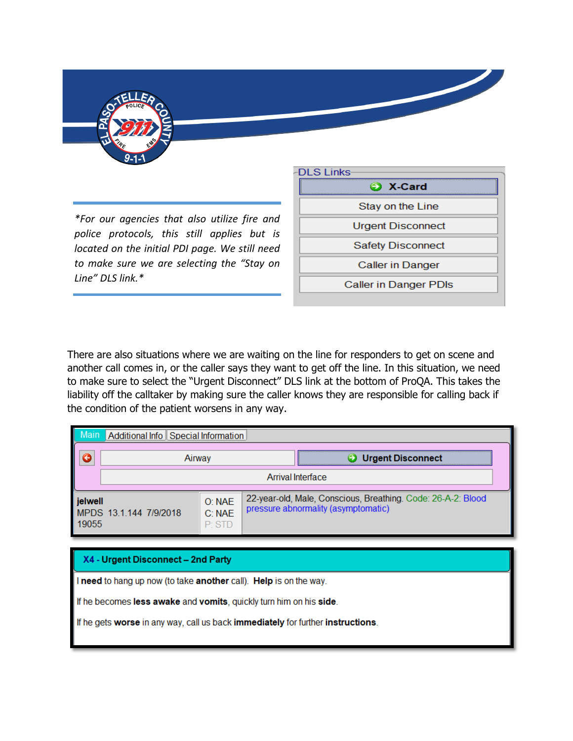

*\*For our agencies that also utilize fire and police protocols, this still applies but is located on the initial PDI page. We still need to make sure we are selecting the "Stay on Line" DLS link.\**



There are also situations where we are waiting on the line for responders to get on scene and another call comes in, or the caller says they want to get off the line. In this situation, we need to make sure to select the "Urgent Disconnect" DLS link at the bottom of ProQA. This takes the liability off the calltaker by making sure the caller knows they are responsible for calling back if the condition of the patient worsens in any way.

|                  | Additional Info Special Information |                             |                                                                                                     |  |  |
|------------------|-------------------------------------|-----------------------------|-----------------------------------------------------------------------------------------------------|--|--|
|                  | Airwav                              |                             | <b>Urgent Disconnect</b>                                                                            |  |  |
|                  | Arrival Interface                   |                             |                                                                                                     |  |  |
| jelwell<br>19055 | MPDS 13.1.144 7/9/2018              | O: NAE<br>C: NAE<br>$P$ STD | 22-year-old, Male, Conscious, Breathing. Code: 26-A-2: Blood<br>pressure abnormality (asymptomatic) |  |  |

## X4 - Urgent Disconnect - 2nd Party

I need to hang up now (to take another call). Help is on the way.

If he becomes less awake and vomits, quickly turn him on his side.

If he gets worse in any way, call us back immediately for further instructions.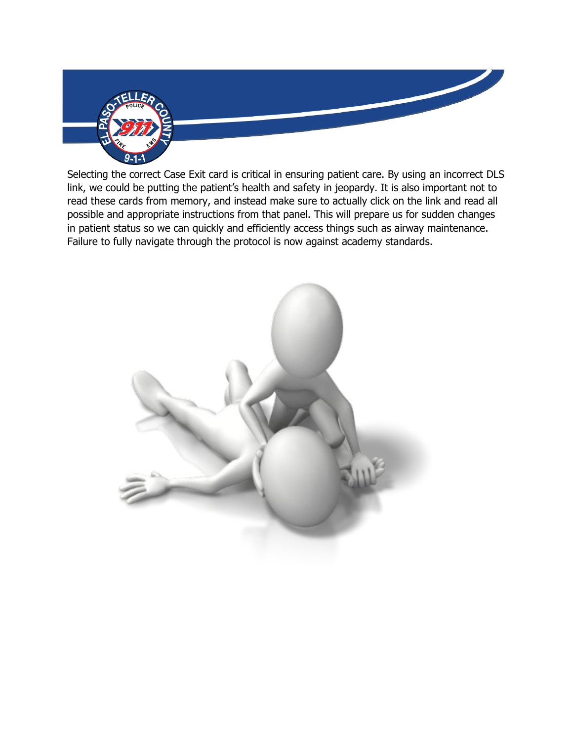

Selecting the correct Case Exit card is critical in ensuring patient care. By using an incorrect DLS link, we could be putting the patient's health and safety in jeopardy. It is also important not to read these cards from memory, and instead make sure to actually click on the link and read all possible and appropriate instructions from that panel. This will prepare us for sudden changes in patient status so we can quickly and efficiently access things such as airway maintenance. Failure to fully navigate through the protocol is now against academy standards.